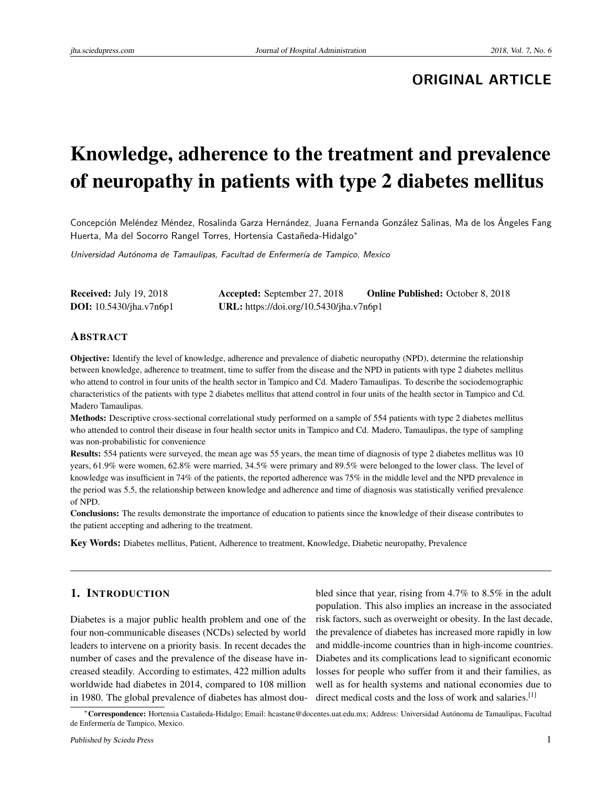# **ORIGINAL ARTICLE**

# Knowledge, adherence to the treatment and prevalence of neuropathy in patients with type 2 diabetes mellitus

Concepción Meléndez Méndez, Rosalinda Garza Hernández, Juana Fernanda González Salinas, Ma de los Ángeles Fang Huerta, Ma del Socorro Rangel Torres, Hortensia Castañeda-Hidalgo<sup>∗</sup>

Universidad Autónoma de Tamaulipas, Facultad de Enfermería de Tampico, Mexico

| <b>Received: July 19, 2018</b>     | Accepted: September 27, 2018            | <b>Online Published: October 8, 2018</b> |
|------------------------------------|-----------------------------------------|------------------------------------------|
| <b>DOI</b> : $10.5430$ /jha.v7n6p1 | URL: https://doi.org/10.5430/jha.v7n6p1 |                                          |

#### ABSTRACT

Objective: Identify the level of knowledge, adherence and prevalence of diabetic neuropathy (NPD), determine the relationship between knowledge, adherence to treatment, time to suffer from the disease and the NPD in patients with type 2 diabetes mellitus who attend to control in four units of the health sector in Tampico and Cd. Madero Tamaulipas. To describe the sociodemographic characteristics of the patients with type 2 diabetes mellitus that attend control in four units of the health sector in Tampico and Cd. Madero Tamaulipas.

Methods: Descriptive cross-sectional correlational study performed on a sample of 554 patients with type 2 diabetes mellitus who attended to control their disease in four health sector units in Tampico and Cd. Madero, Tamaulipas, the type of sampling was non-probabilistic for convenience

Results: 554 patients were surveyed, the mean age was 55 years, the mean time of diagnosis of type 2 diabetes mellitus was 10 years, 61.9% were women, 62.8% were married, 34.5% were primary and 89.5% were belonged to the lower class. The level of knowledge was insufficient in 74% of the patients, the reported adherence was 75% in the middle level and the NPD prevalence in the period was 5.5, the relationship between knowledge and adherence and time of diagnosis was statistically verified prevalence of NPD.

Conclusions: The results demonstrate the importance of education to patients since the knowledge of their disease contributes to the patient accepting and adhering to the treatment.

Key Words: Diabetes mellitus, Patient, Adherence to treatment, Knowledge, Diabetic neuropathy, Prevalence

# 1. INTRODUCTION

Diabetes is a major public health problem and one of the four non-communicable diseases (NCDs) selected by world leaders to intervene on a priority basis. In recent decades the number of cases and the prevalence of the disease have increased steadily. According to estimates, 422 million adults worldwide had diabetes in 2014, compared to 108 million in 1980. The global prevalence of diabetes has almost dou-

bled since that year, rising from 4.7% to 8.5% in the adult population. This also implies an increase in the associated risk factors, such as overweight or obesity. In the last decade, the prevalence of diabetes has increased more rapidly in low and middle-income countries than in high-income countries. Diabetes and its complications lead to significant economic losses for people who suffer from it and their families, as well as for health systems and national economies due to direct medical costs and the loss of work and salaries.<sup>[\[1\]](#page-4-0)</sup>

<sup>∗</sup>Correspondence: Hortensia Castañeda-Hidalgo; Email: hcastane@docentes.uat.edu.mx; Address: Universidad Autónoma de Tamaulipas, Facultad de Enfermería de Tampico, Mexico.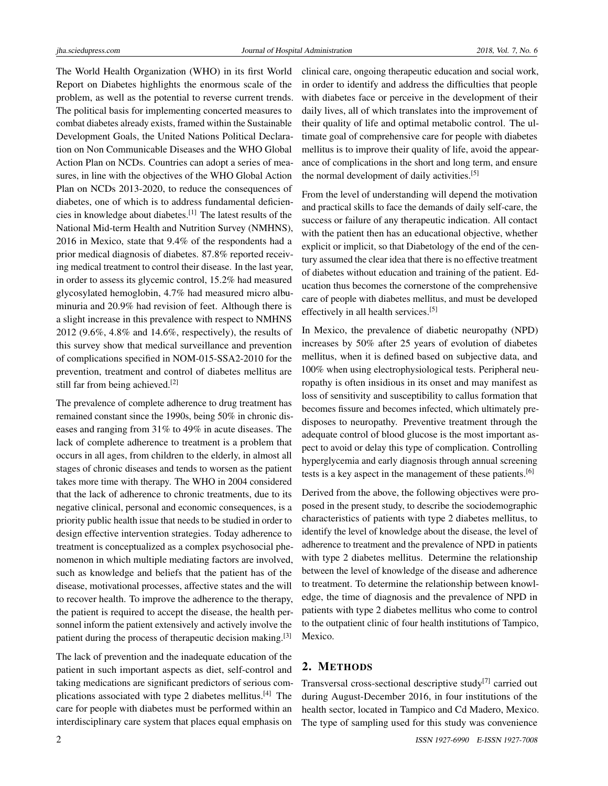The World Health Organization (WHO) in its first World Report on Diabetes highlights the enormous scale of the problem, as well as the potential to reverse current trends. The political basis for implementing concerted measures to combat diabetes already exists, framed within the Sustainable Development Goals, the United Nations Political Declaration on Non Communicable Diseases and the WHO Global Action Plan on NCDs. Countries can adopt a series of measures, in line with the objectives of the WHO Global Action Plan on NCDs 2013-2020, to reduce the consequences of diabetes, one of which is to address fundamental deficiencies in knowledge about diabetes.[\[1\]](#page-4-0) The latest results of the National Mid-term Health and Nutrition Survey (NMHNS), 2016 in Mexico, state that 9.4% of the respondents had a prior medical diagnosis of diabetes. 87.8% reported receiving medical treatment to control their disease. In the last year, in order to assess its glycemic control, 15.2% had measured glycosylated hemoglobin, 4.7% had measured micro albuminuria and 20.9% had revision of feet. Although there is a slight increase in this prevalence with respect to NMHNS 2012 (9.6%, 4.8% and 14.6%, respectively), the results of this survey show that medical surveillance and prevention of complications specified in NOM-015-SSA2-2010 for the prevention, treatment and control of diabetes mellitus are still far from being achieved.[\[2\]](#page-4-1)

The prevalence of complete adherence to drug treatment has remained constant since the 1990s, being 50% in chronic diseases and ranging from 31% to 49% in acute diseases. The lack of complete adherence to treatment is a problem that occurs in all ages, from children to the elderly, in almost all stages of chronic diseases and tends to worsen as the patient takes more time with therapy. The WHO in 2004 considered that the lack of adherence to chronic treatments, due to its negative clinical, personal and economic consequences, is a priority public health issue that needs to be studied in order to design effective intervention strategies. Today adherence to treatment is conceptualized as a complex psychosocial phenomenon in which multiple mediating factors are involved, such as knowledge and beliefs that the patient has of the disease, motivational processes, affective states and the will to recover health. To improve the adherence to the therapy, the patient is required to accept the disease, the health personnel inform the patient extensively and actively involve the patient during the process of therapeutic decision making.<sup>[\[3\]](#page-4-2)</sup>

The lack of prevention and the inadequate education of the patient in such important aspects as diet, self-control and taking medications are significant predictors of serious complications associated with type 2 diabetes mellitus.[\[4\]](#page-4-3) The care for people with diabetes must be performed within an interdisciplinary care system that places equal emphasis on

clinical care, ongoing therapeutic education and social work, in order to identify and address the difficulties that people with diabetes face or perceive in the development of their daily lives, all of which translates into the improvement of their quality of life and optimal metabolic control. The ultimate goal of comprehensive care for people with diabetes mellitus is to improve their quality of life, avoid the appearance of complications in the short and long term, and ensure the normal development of daily activities.<sup>[\[5\]](#page-4-4)</sup>

From the level of understanding will depend the motivation and practical skills to face the demands of daily self-care, the success or failure of any therapeutic indication. All contact with the patient then has an educational objective, whether explicit or implicit, so that Diabetology of the end of the century assumed the clear idea that there is no effective treatment of diabetes without education and training of the patient. Education thus becomes the cornerstone of the comprehensive care of people with diabetes mellitus, and must be developed effectively in all health services.[\[5\]](#page-4-4)

In Mexico, the prevalence of diabetic neuropathy (NPD) increases by 50% after 25 years of evolution of diabetes mellitus, when it is defined based on subjective data, and 100% when using electrophysiological tests. Peripheral neuropathy is often insidious in its onset and may manifest as loss of sensitivity and susceptibility to callus formation that becomes fissure and becomes infected, which ultimately predisposes to neuropathy. Preventive treatment through the adequate control of blood glucose is the most important aspect to avoid or delay this type of complication. Controlling hyperglycemia and early diagnosis through annual screening tests is a key aspect in the management of these patients.[\[6\]](#page-4-5)

Derived from the above, the following objectives were proposed in the present study, to describe the sociodemographic characteristics of patients with type 2 diabetes mellitus, to identify the level of knowledge about the disease, the level of adherence to treatment and the prevalence of NPD in patients with type 2 diabetes mellitus. Determine the relationship between the level of knowledge of the disease and adherence to treatment. To determine the relationship between knowledge, the time of diagnosis and the prevalence of NPD in patients with type 2 diabetes mellitus who come to control to the outpatient clinic of four health institutions of Tampico, Mexico.

# 2. METHODS

Transversal cross-sectional descriptive study<sup>[\[7\]](#page-4-6)</sup> carried out during August-December 2016, in four institutions of the health sector, located in Tampico and Cd Madero, Mexico. The type of sampling used for this study was convenience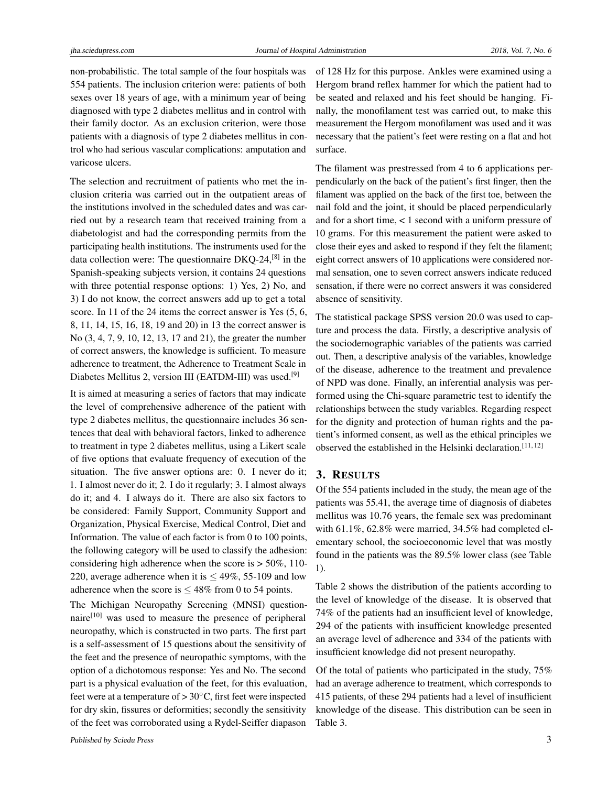non-probabilistic. The total sample of the four hospitals was 554 patients. The inclusion criterion were: patients of both sexes over 18 years of age, with a minimum year of being diagnosed with type 2 diabetes mellitus and in control with their family doctor. As an exclusion criterion, were those patients with a diagnosis of type 2 diabetes mellitus in control who had serious vascular complications: amputation and varicose ulcers.

The selection and recruitment of patients who met the inclusion criteria was carried out in the outpatient areas of the institutions involved in the scheduled dates and was carried out by a research team that received training from a diabetologist and had the corresponding permits from the participating health institutions. The instruments used for the data collection were: The questionnaire DKQ-24,<sup>[\[8\]](#page-4-7)</sup> in the Spanish-speaking subjects version, it contains 24 questions with three potential response options: 1) Yes, 2) No, and 3) I do not know, the correct answers add up to get a total score. In 11 of the 24 items the correct answer is Yes  $(5, 6, 1)$ 8, 11, 14, 15, 16, 18, 19 and 20) in 13 the correct answer is No (3, 4, 7, 9, 10, 12, 13, 17 and 21), the greater the number of correct answers, the knowledge is sufficient. To measure adherence to treatment, the Adherence to Treatment Scale in Diabetes Mellitus 2, version III (EATDM-III) was used.[\[9\]](#page-4-8)

It is aimed at measuring a series of factors that may indicate the level of comprehensive adherence of the patient with type 2 diabetes mellitus, the questionnaire includes 36 sentences that deal with behavioral factors, linked to adherence to treatment in type 2 diabetes mellitus, using a Likert scale of five options that evaluate frequency of execution of the situation. The five answer options are: 0. I never do it; 1. I almost never do it; 2. I do it regularly; 3. I almost always do it; and 4. I always do it. There are also six factors to be considered: Family Support, Community Support and Organization, Physical Exercise, Medical Control, Diet and Information. The value of each factor is from 0 to 100 points, the following category will be used to classify the adhesion: considering high adherence when the score is  $> 50\%$ , 110-220, average adherence when it is  $\leq 49\%$ , 55-109 and low adherence when the score is  $\leq 48\%$  from 0 to 54 points.

The Michigan Neuropathy Screening (MNSI) questionnaire[\[10\]](#page-4-9) was used to measure the presence of peripheral neuropathy, which is constructed in two parts. The first part is a self-assessment of 15 questions about the sensitivity of the feet and the presence of neuropathic symptoms, with the option of a dichotomous response: Yes and No. The second part is a physical evaluation of the feet, for this evaluation, feet were at a temperature of  $> 30^{\circ}$ C, first feet were inspected for dry skin, fissures or deformities; secondly the sensitivity of the feet was corroborated using a Rydel-Seiffer diapason of 128 Hz for this purpose. Ankles were examined using a Hergom brand reflex hammer for which the patient had to be seated and relaxed and his feet should be hanging. Finally, the monofilament test was carried out, to make this measurement the Hergom monofilament was used and it was necessary that the patient's feet were resting on a flat and hot surface.

The filament was prestressed from 4 to 6 applications perpendicularly on the back of the patient's first finger, then the filament was applied on the back of the first toe, between the nail fold and the joint, it should be placed perpendicularly and for a short time, < 1 second with a uniform pressure of 10 grams. For this measurement the patient were asked to close their eyes and asked to respond if they felt the filament; eight correct answers of 10 applications were considered normal sensation, one to seven correct answers indicate reduced sensation, if there were no correct answers it was considered absence of sensitivity.

The statistical package SPSS version 20.0 was used to capture and process the data. Firstly, a descriptive analysis of the sociodemographic variables of the patients was carried out. Then, a descriptive analysis of the variables, knowledge of the disease, adherence to the treatment and prevalence of NPD was done. Finally, an inferential analysis was performed using the Chi-square parametric test to identify the relationships between the study variables. Regarding respect for the dignity and protection of human rights and the patient's informed consent, as well as the ethical principles we observed the established in the Helsinki declaration.[\[11,](#page-4-10) [12\]](#page-4-11)

## 3. RESULTS

Of the 554 patients included in the study, the mean age of the patients was 55.41, the average time of diagnosis of diabetes mellitus was 10.76 years, the female sex was predominant with 61.1%, 62.8% were married, 34.5% had completed elementary school, the socioeconomic level that was mostly found in the patients was the 89.5% lower class (see Table 1).

Table 2 shows the distribution of the patients according to the level of knowledge of the disease. It is observed that 74% of the patients had an insufficient level of knowledge, 294 of the patients with insufficient knowledge presented an average level of adherence and 334 of the patients with insufficient knowledge did not present neuropathy.

Of the total of patients who participated in the study, 75% had an average adherence to treatment, which corresponds to 415 patients, of these 294 patients had a level of insufficient knowledge of the disease. This distribution can be seen in Table 3.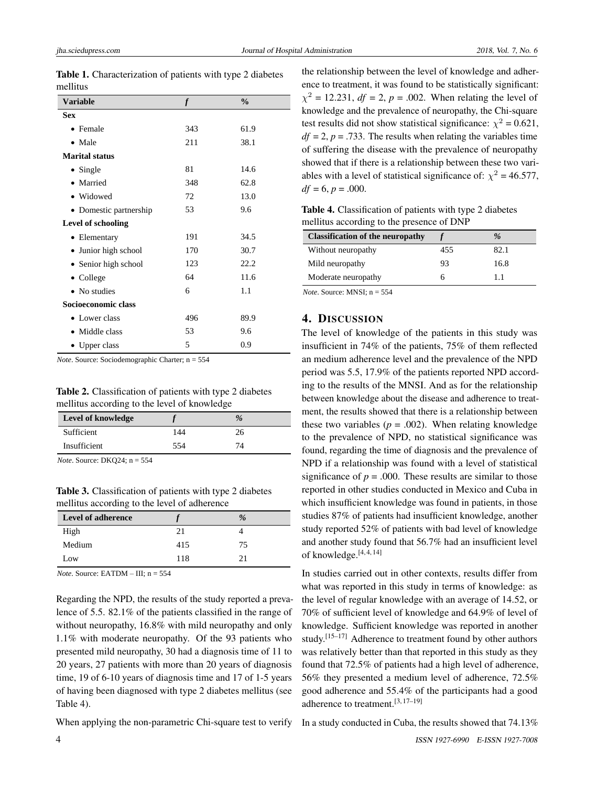| Variable               | $\mathbf f$ | $\frac{0}{0}$ |  |  |
|------------------------|-------------|---------------|--|--|
| <b>Sex</b>             |             |               |  |  |
| • Female               | 343         | 61.9          |  |  |
| $\bullet$ Male         | 211         | 38.1          |  |  |
| <b>Marital status</b>  |             |               |  |  |
| $\bullet$ Single       | 81          | 14.6          |  |  |
| Married<br>$\bullet$   | 348         | 62.8          |  |  |
| · Widowed              | 72          | 13.0          |  |  |
| • Domestic partnership | 53          | 9.6           |  |  |
| Level of schooling     |             |               |  |  |
| • Elementary           | 191         | 34.5          |  |  |
| • Junior high school   | 170         | 30.7          |  |  |
| • Senior high school   | 123         | 22.2          |  |  |
| $\bullet$ College      | 64          | 11.6          |  |  |
| • No studies           | 6           | 1.1           |  |  |
| Socioeconomic class    |             |               |  |  |
| • Lower class          | 496         | 89.9          |  |  |
| • Middle class         | 53          | 9.6           |  |  |
| • Upper class          | 5           | 0.9           |  |  |

Table 1. Characterization of patients with type 2 diabetes mellitus

*Note*. Source: Sociodemographic Charter; n = 554

Table 2. Classification of patients with type 2 diabetes mellitus according to the level of knowledge

| Level of knowledge |     | $\%$ |  |
|--------------------|-----|------|--|
| Sufficient         | 144 | 26   |  |
| Insufficient       | 554 | 74   |  |

*Note*. Source: DKQ24; n = 554

Table 3. Classification of patients with type 2 diabetes mellitus according to the level of adherence

| <b>Level of adherence</b> |     | %  |  |
|---------------------------|-----|----|--|
| High                      | 21  |    |  |
| Medium                    | 415 | 75 |  |
| Low                       | 118 | 21 |  |

*Note*. Source: EATDM – III; n = 554

Regarding the NPD, the results of the study reported a prevalence of 5.5. 82.1% of the patients classified in the range of without neuropathy, 16.8% with mild neuropathy and only 1.1% with moderate neuropathy. Of the 93 patients who presented mild neuropathy, 30 had a diagnosis time of 11 to 20 years, 27 patients with more than 20 years of diagnosis time, 19 of 6-10 years of diagnosis time and 17 of 1-5 years of having been diagnosed with type 2 diabetes mellitus (see Table 4).

When applying the non-parametric Chi-square test to verify

the relationship between the level of knowledge and adherence to treatment, it was found to be statistically significant:  $\chi^2 = 12.231$ , *df* = 2, *p* = .002. When relating the level of knowledge and the prevalence of neuropathy, the Chi-square test results did not show statistical significance:  $\chi^2 = 0.621$ ,  $df = 2$ ,  $p = .733$ . The results when relating the variables time of suffering the disease with the prevalence of neuropathy showed that if there is a relationship between these two variables with a level of statistical significance of:  $\chi^2$  = 46.577,  $df = 6, p = .000$ .

Table 4. Classification of patients with type 2 diabetes mellitus according to the presence of DNP

|     | $\%$ |
|-----|------|
| 455 | 82.1 |
| 93  | 16.8 |
|     | 11   |
|     |      |

*Note*. Source: MNSI; n = 554

#### 4. DISCUSSION

The level of knowledge of the patients in this study was insufficient in 74% of the patients, 75% of them reflected an medium adherence level and the prevalence of the NPD period was 5.5, 17.9% of the patients reported NPD according to the results of the MNSI. And as for the relationship between knowledge about the disease and adherence to treatment, the results showed that there is a relationship between these two variables ( $p = .002$ ). When relating knowledge to the prevalence of NPD, no statistical significance was found, regarding the time of diagnosis and the prevalence of NPD if a relationship was found with a level of statistical significance of  $p = .000$ . These results are similar to those reported in other studies conducted in Mexico and Cuba in which insufficient knowledge was found in patients, in those studies 87% of patients had insufficient knowledge, another study reported 52% of patients with bad level of knowledge and another study found that 56.7% had an insufficient level of knowledge.<sup>[\[4,](#page-4-3) [4,](#page-4-3) [14\]](#page-5-0)</sup>

In studies carried out in other contexts, results differ from what was reported in this study in terms of knowledge: as the level of regular knowledge with an average of 14.52, or 70% of sufficient level of knowledge and 64.9% of level of knowledge. Sufficient knowledge was reported in another study.<sup>[\[15](#page-5-1)[–17\]](#page-5-2)</sup> Adherence to treatment found by other authors was relatively better than that reported in this study as they found that 72.5% of patients had a high level of adherence, 56% they presented a medium level of adherence, 72.5% good adherence and 55.4% of the participants had a good adherence to treatment.[\[3,](#page-4-2) [17–](#page-5-2)[19\]](#page-5-3)

In a study conducted in Cuba, the results showed that 74.13%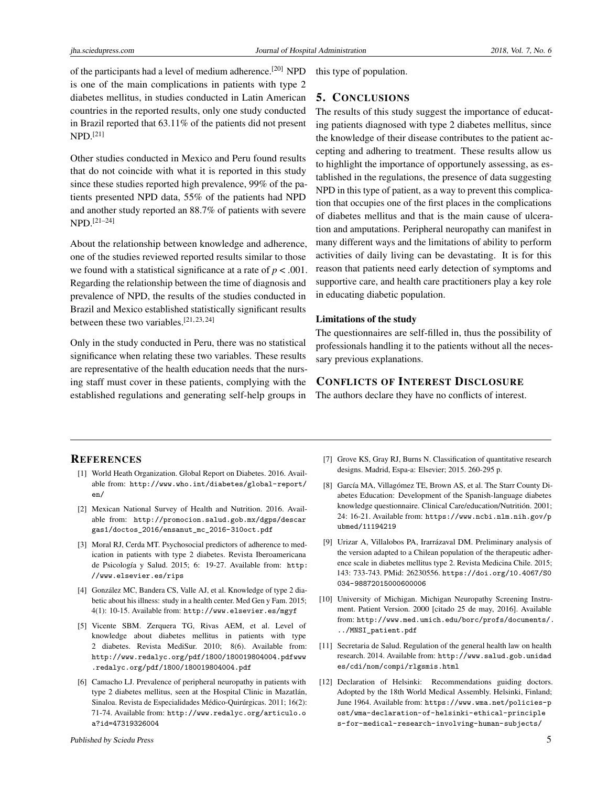of the participants had a level of medium adherence.<sup>[\[20\]](#page-5-4)</sup> NPD is one of the main complications in patients with type 2 diabetes mellitus, in studies conducted in Latin American countries in the reported results, only one study conducted in Brazil reported that 63.11% of the patients did not present  $NPD.$ <sup>[\[21\]](#page-5-5)</sup>

Other studies conducted in Mexico and Peru found results that do not coincide with what it is reported in this study since these studies reported high prevalence, 99% of the patients presented NPD data, 55% of the patients had NPD and another study reported an 88.7% of patients with severe NPD.[\[21–](#page-5-5)[24\]](#page-5-6)

About the relationship between knowledge and adherence, one of the studies reviewed reported results similar to those we found with a statistical significance at a rate of  $p < .001$ . Regarding the relationship between the time of diagnosis and prevalence of NPD, the results of the studies conducted in Brazil and Mexico established statistically significant results between these two variables.<sup>[\[21,](#page-5-5) [23,](#page-5-7) [24\]](#page-5-6)</sup>

Only in the study conducted in Peru, there was no statistical significance when relating these two variables. These results are representative of the health education needs that the nursing staff must cover in these patients, complying with the established regulations and generating self-help groups in this type of population.

# 5. CONCLUSIONS

The results of this study suggest the importance of educating patients diagnosed with type 2 diabetes mellitus, since the knowledge of their disease contributes to the patient accepting and adhering to treatment. These results allow us to highlight the importance of opportunely assessing, as established in the regulations, the presence of data suggesting NPD in this type of patient, as a way to prevent this complication that occupies one of the first places in the complications of diabetes mellitus and that is the main cause of ulceration and amputations. Peripheral neuropathy can manifest in many different ways and the limitations of ability to perform activities of daily living can be devastating. It is for this reason that patients need early detection of symptoms and supportive care, and health care practitioners play a key role in educating diabetic population.

#### Limitations of the study

The questionnaires are self-filled in, thus the possibility of professionals handling it to the patients without all the necessary previous explanations.

# CONFLICTS OF INTEREST DISCLOSURE

The authors declare they have no conflicts of interest.

## **REFERENCES**

- <span id="page-4-0"></span>[1] World Heath Organization. Global Report on Diabetes. 2016. Available from: [http://www.who.int/diabetes/global-report/](http://www.who.int/diabetes/global-report/en/) [en/](http://www.who.int/diabetes/global-report/en/)
- <span id="page-4-1"></span>[2] Mexican National Survey of Health and Nutrition. 2016. Available from: [http://promocion.salud.gob.mx/dgps/descar](http://promocion.salud.gob.mx/dgps/descargas1/doctos_2016/ensanut_ mc_2016-310oct.pdf) [gas1/doctos\\_2016/ensanut\\_mc\\_2016-310oct.pdf](http://promocion.salud.gob.mx/dgps/descargas1/doctos_2016/ensanut_ mc_2016-310oct.pdf)
- <span id="page-4-2"></span>[3] Moral RJ, Cerda MT. Psychosocial predictors of adherence to medication in patients with type 2 diabetes. Revista Iberoamericana de Psicología y Salud. 2015; 6: 19-27. Available from: [http:](http://www.elsevier.es/rips) [//www.elsevier.es/rips](http://www.elsevier.es/rips)
- <span id="page-4-3"></span>[4] González MC, Bandera CS, Valle AJ, et al. Knowledge of type 2 diabetic about his illness: study in a health center. Med Gen y Fam. 2015; 4(1): 10-15. Available from: <http://www.elsevier.es/mgyf>
- <span id="page-4-4"></span>[5] Vicente SBM. Zerquera TG, Rivas AEM, et al. Level of knowledge about diabetes mellitus in patients with type 2 diabetes. Revista MediSur. 2010; 8(6). Available from: [http://www.redalyc.org/pdf/1800/180019804004.pdfwww](http://www.redalyc.org/pdf/1800/180019804004.pdfwww.redalyc.org/pdf/1800/180019804004.pdf) [.redalyc.org/pdf/1800/180019804004.pdf](http://www.redalyc.org/pdf/1800/180019804004.pdfwww.redalyc.org/pdf/1800/180019804004.pdf)
- <span id="page-4-5"></span>[6] Camacho LJ. Prevalence of peripheral neuropathy in patients with type 2 diabetes mellitus, seen at the Hospital Clinic in Mazatlán, Sinaloa. Revista de Especialidades Médico-Quirúrgicas. 2011; 16(2): 71-74. Available from: [http://www.redalyc.org/articulo.o](http://www.redalyc.org/articulo.oa?id= 47319326004) [a?id=47319326004](http://www.redalyc.org/articulo.oa?id= 47319326004)
- <span id="page-4-6"></span>[7] Grove KS, Gray RJ, Burns N. Classification of quantitative research designs. Madrid, Espa-a: Elsevier; 2015. 260-295 p.
- <span id="page-4-7"></span>[8] García MA, Villagómez TE, Brown AS, et al. The Starr County Diabetes Education: Development of the Spanish-language diabetes knowledge questionnaire. Clinical Care/education/Nutritión. 2001; 24: 16-21. Available from: [https://www.ncbi.nlm.nih.gov/p](https://www.ncbi.nlm.nih.gov/pubmed/11194219) [ubmed/11194219](https://www.ncbi.nlm.nih.gov/pubmed/11194219)
- <span id="page-4-8"></span>[9] Urizar A, Villalobos PA, Irarrázaval DM. Preliminary analysis of the version adapted to a Chilean population of the therapeutic adherence scale in diabetes mellitus type 2. Revista Medicina Chile. 2015; 143: 733-743. PMid: 26230556. [https://doi.org/10.4067/S0](https://doi.org/10.4067/S0034-98872015000600006) [034-98872015000600006](https://doi.org/10.4067/S0034-98872015000600006)
- <span id="page-4-9"></span>[10] University of Michigan. Michigan Neuropathy Screening Instrument. Patient Version. 2000 [citado 25 de may, 2016]. Available from: [http://www.med.umich.edu/borc/profs/documents/.](http://www.med.umich.edu/borc/profs/documents/.../MNSI_patient.pdf) [../MNSI\\_patient.pdf](http://www.med.umich.edu/borc/profs/documents/.../MNSI_patient.pdf)
- <span id="page-4-10"></span>[11] Secretaria de Salud. Regulation of the general health law on health research. 2014. Available from: [http://www.salud.gob.unidad](http://www.salud.gob.unidades/cdi/nom/compi/rlgsmis.html) [es/cdi/nom/compi/rlgsmis.html](http://www.salud.gob.unidades/cdi/nom/compi/rlgsmis.html)
- <span id="page-4-11"></span>[12] Declaration of Helsinki: Recommendations guiding doctors. Adopted by the 18th World Medical Assembly. Helsinki, Finland; June 1964. Available from: [https://www.wma.net/policies-p](https://www.wma.net/policies-post/wma-declaration-of-helsinki-ethical-principles-for-medical-research-involving-human-subjects/) [ost/wma-declaration-of-helsinki-ethical-principle](https://www.wma.net/policies-post/wma-declaration-of-helsinki-ethical-principles-for-medical-research-involving-human-subjects/) [s-for-medical-research-involving-human-subjects/](https://www.wma.net/policies-post/wma-declaration-of-helsinki-ethical-principles-for-medical-research-involving-human-subjects/)